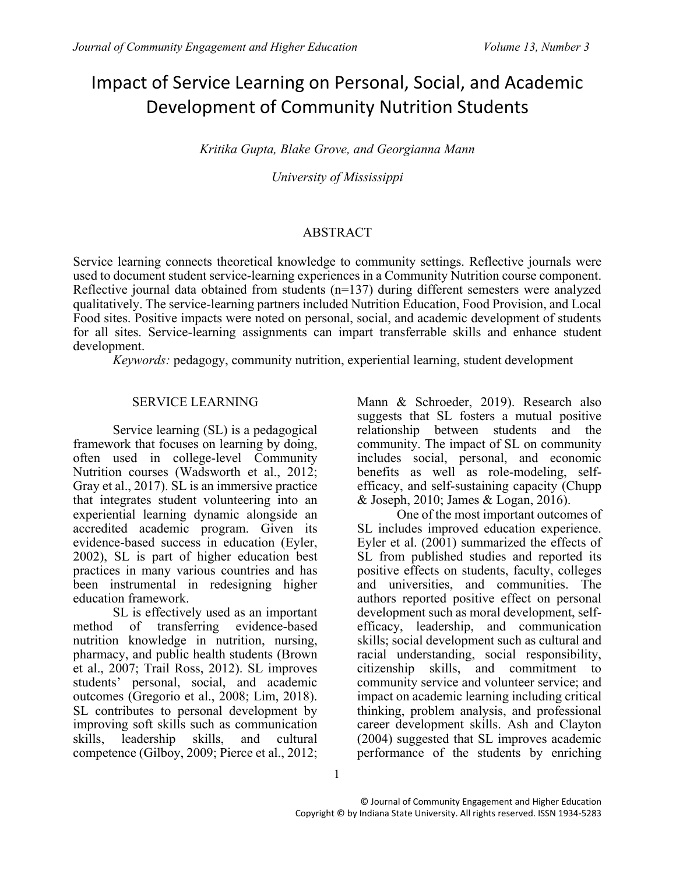# Impact of Service Learning on Personal, Social, and Academic Development of Community Nutrition Students

*Kritika Gupta, Blake Grove, and Georgianna Mann*

*University of Mississippi*

## ABSTRACT

Service learning connects theoretical knowledge to community settings. Reflective journals were used to document student service-learning experiences in a Community Nutrition course component. Reflective journal data obtained from students (n=137) during different semesters were analyzed qualitatively. The service-learning partners included Nutrition Education, Food Provision, and Local Food sites. Positive impacts were noted on personal, social, and academic development of students for all sites. Service-learning assignments can impart transferrable skills and enhance student development.

*Keywords:* pedagogy, community nutrition, experiential learning, student development

# SERVICE LEARNING

Service learning (SL) is a pedagogical framework that focuses on learning by doing, often used in college-level Community Nutrition courses (Wadsworth et al., 2012; Gray et al., 2017). SL is an immersive practice that integrates student volunteering into an experiential learning dynamic alongside an accredited academic program. Given its evidence-based success in education (Eyler, 2002), SL is part of higher education best practices in many various countries and has been instrumental in redesigning higher education framework.

SL is effectively used as an important method of transferring evidence-based nutrition knowledge in nutrition, nursing, pharmacy, and public health students (Brown et al., 2007; Trail Ross, 2012). SL improves students' personal, social, and academic outcomes (Gregorio et al., 2008; Lim, 2018). SL contributes to personal development by improving soft skills such as communication skills, leadership skills, and cultural competence (Gilboy, 2009; Pierce et al., 2012;

Mann & Schroeder, 2019). Research also suggests that SL fosters a mutual positive relationship between students and the community. The impact of SL on community includes social, personal, and economic benefits as well as role-modeling, selfefficacy, and self-sustaining capacity (Chupp & Joseph, 2010; James & Logan, 2016).

One of the most important outcomes of SL includes improved education experience. Eyler et al. (2001) summarized the effects of SL from published studies and reported its positive effects on students, faculty, colleges and universities, and communities. The authors reported positive effect on personal development such as moral development, selfefficacy, leadership, and communication skills; social development such as cultural and racial understanding, social responsibility, citizenship skills, and commitment to community service and volunteer service; and impact on academic learning including critical thinking, problem analysis, and professional career development skills. Ash and Clayton (2004) suggested that SL improves academic performance of the students by enriching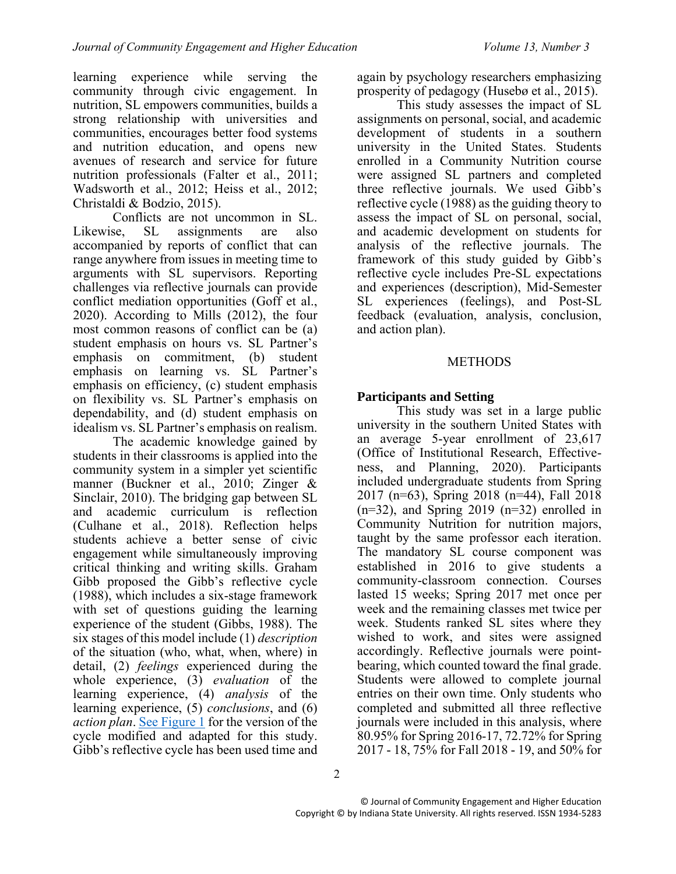learning experience while serving the community through civic engagement. In nutrition, SL empowers communities, builds a strong relationship with universities and communities, encourages better food systems and nutrition education, and opens new avenues of research and service for future nutrition professionals (Falter et al., 2011; Wadsworth et al., 2012; Heiss et al., 2012; Christaldi & Bodzio, 2015).

Conflicts are not uncommon in SL. Likewise, SL assignments are also accompanied by reports of conflict that can range anywhere from issues in meeting time to arguments with SL supervisors. Reporting challenges via reflective journals can provide conflict mediation opportunities (Goff et al., 2020). According to Mills (2012), the four most common reasons of conflict can be (a) student emphasis on hours vs. SL Partner's emphasis on commitment, (b) student emphasis on learning vs. SL Partner's emphasis on efficiency, (c) student emphasis on flexibility vs. SL Partner's emphasis on dependability, and (d) student emphasis on idealism vs. SL Partner's emphasis on realism.

The academic knowledge gained by students in their classrooms is applied into the community system in a simpler yet scientific manner (Buckner et al., 2010; Zinger & Sinclair, 2010). The bridging gap between SL and academic curriculum is reflection (Culhane et al., 2018). Reflection helps students achieve a better sense of civic engagement while simultaneously improving critical thinking and writing skills. Graham Gibb proposed the Gibb's reflective cycle (1988), which includes a six-stage framework with set of questions guiding the learning experience of the student (Gibbs, 1988). The six stages of this model include (1) *description* of the situation (who, what, when, where) in detail, (2) *feelings* experienced during the whole experience, (3) *evaluation* of the learning experience, (4) *analysis* of the learning experience, (5) *conclusions*, and (6) *action plan*. [See Figure 1](#page-2-0) for the version of the cycle modified and adapted for this study. Gibb's reflective cycle has been used time and

again by psychology researchers emphasizing prosperity of pedagogy (Husebø et al., 2015).

This study assesses the impact of SL assignments on personal, social, and academic development of students in a southern university in the United States. Students enrolled in a Community Nutrition course were assigned SL partners and completed three reflective journals. We used Gibb's reflective cycle (1988) as the guiding theory to assess the impact of SL on personal, social, and academic development on students for analysis of the reflective journals. The framework of this study guided by Gibb's reflective cycle includes Pre-SL expectations and experiences (description), Mid-Semester SL experiences (feelings), and Post-SL feedback (evaluation, analysis, conclusion, and action plan).

## **METHODS**

## **Participants and Setting**

This study was set in a large public university in the southern United States with an average 5-year enrollment of 23,617 (Office of Institutional Research, Effectiveness, and Planning, 2020). Participants included undergraduate students from Spring 2017 (n=63), Spring 2018 (n=44), Fall 2018  $(n=32)$ , and Spring 2019  $(n=32)$  enrolled in Community Nutrition for nutrition majors, taught by the same professor each iteration. The mandatory SL course component was established in 2016 to give students a community-classroom connection. Courses lasted 15 weeks; Spring 2017 met once per week and the remaining classes met twice per week. Students ranked SL sites where they wished to work, and sites were assigned accordingly. Reflective journals were pointbearing, which counted toward the final grade. Students were allowed to complete journal entries on their own time. Only students who completed and submitted all three reflective journals were included in this analysis, where 80.95% for Spring 2016-17, 72.72% for Spring 2017 - 18, 75% for Fall 2018 - 19, and 50% for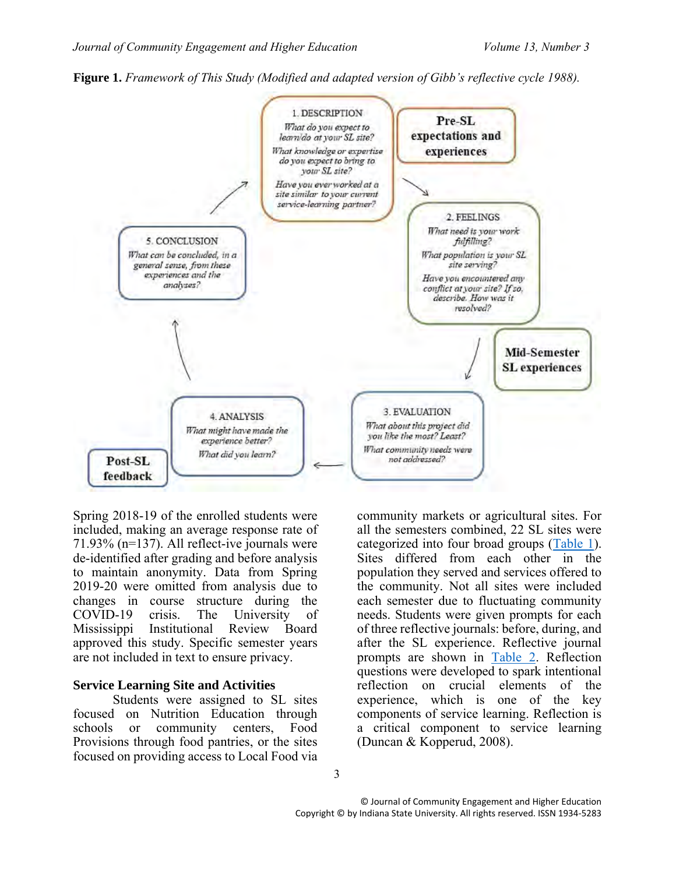<span id="page-2-0"></span>



Spring 2018-19 of the enrolled students were included, making an average response rate of 71.93% (n=137). All reflect-ive journals were de-identified after grading and before analysis to maintain anonymity. Data from Spring 2019-20 were omitted from analysis due to changes in course structure during the COVID-19 crisis. The University of Mississippi Institutional Review Board approved this study. Specific semester years are not included in text to ensure privacy.

#### **Service Learning Site and Activities**

Students were assigned to SL sites focused on Nutrition Education through schools or community centers, Food Provisions through food pantries, or the sites focused on providing access to Local Food via

community markets or agricultural sites. For all the semesters combined, 22 SL sites were categorized into four broad groups [\(Table 1\)](#page-3-0). Sites differed from each other in the population they served and services offered to the community. Not all sites were included each semester due to fluctuating community needs. Students were given prompts for each of three reflective journals: before, during, and after the SL experience. Reflective journal prompts are shown in [Table 2.](#page-4-0) Reflection questions were developed to spark intentional reflection on crucial elements of the experience, which is one of the key components of service learning. Reflection is a critical component to service learning (Duncan & Kopperud, 2008).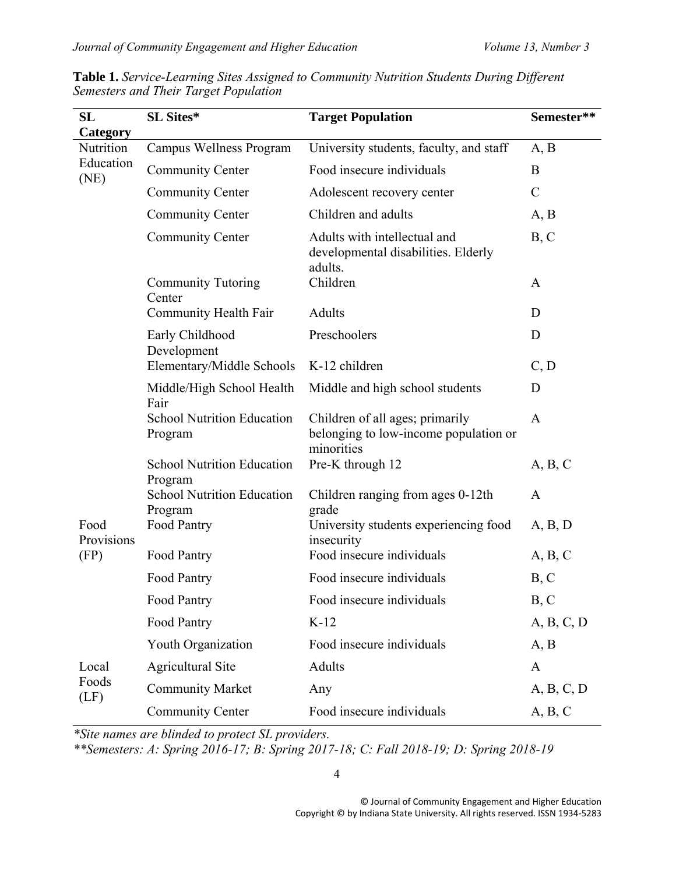| SL<br>Category     | SL Sites*                                    | <b>Target Population</b>                                                               | Semester**    |
|--------------------|----------------------------------------------|----------------------------------------------------------------------------------------|---------------|
| Nutrition          | Campus Wellness Program                      | University students, faculty, and staff                                                | A, B          |
| Education<br>(NE)  | <b>Community Center</b>                      | Food insecure individuals                                                              | B             |
|                    | <b>Community Center</b>                      | Adolescent recovery center                                                             | $\mathcal{C}$ |
|                    | <b>Community Center</b>                      | Children and adults                                                                    | A, B          |
|                    | <b>Community Center</b>                      | Adults with intellectual and<br>developmental disabilities. Elderly<br>adults.         | B, C          |
|                    | <b>Community Tutoring</b><br>Center          | Children                                                                               | A             |
|                    | Community Health Fair                        | Adults                                                                                 | D             |
|                    | Early Childhood<br>Development               | Preschoolers                                                                           | D             |
|                    | Elementary/Middle Schools                    | K-12 children                                                                          | C, D          |
|                    | Middle/High School Health<br>Fair            | Middle and high school students                                                        | D             |
|                    | <b>School Nutrition Education</b><br>Program | Children of all ages; primarily<br>belonging to low-income population or<br>minorities | $\mathbf{A}$  |
|                    | <b>School Nutrition Education</b><br>Program | Pre-K through 12                                                                       | A, B, C       |
|                    | <b>School Nutrition Education</b><br>Program | Children ranging from ages 0-12th<br>grade                                             | $\mathbf{A}$  |
| Food<br>Provisions | Food Pantry                                  | University students experiencing food<br>insecurity                                    | A, B, D       |
| (FP)               | Food Pantry                                  | Food insecure individuals                                                              | A, B, C       |
|                    | Food Pantry                                  | Food insecure individuals                                                              | B, C          |
|                    | Food Pantry                                  | Food insecure individuals                                                              | B, C          |
|                    | Food Pantry                                  | $K-12$                                                                                 | A, B, C, D    |
|                    | Youth Organization                           | Food insecure individuals                                                              | A, B          |
| Local              | <b>Agricultural Site</b>                     | Adults                                                                                 | $\mathbf{A}$  |
| Foods<br>(LF)      | <b>Community Market</b>                      | Any                                                                                    | A, B, C, D    |
|                    | <b>Community Center</b>                      | Food insecure individuals                                                              | A, B, C       |

<span id="page-3-0"></span>**Table 1.** *Service-Learning Sites Assigned to Community Nutrition Students During Different Semesters and Their Target Population* 

*\*Site names are blinded to protect SL providers.*

*\*\*Semesters: A: Spring 2016-17; B: Spring 2017-18; C: Fall 2018-19; D: Spring 2018-19*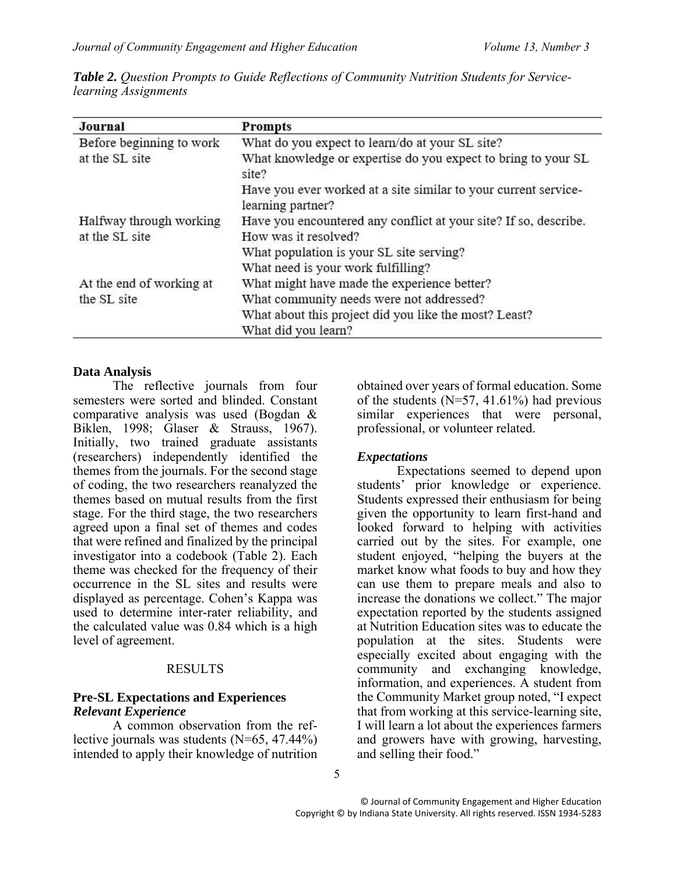| Journal                  | <b>Prompts</b>                                                                       |
|--------------------------|--------------------------------------------------------------------------------------|
| Before beginning to work | What do you expect to learn/do at your SL site?                                      |
| at the SL site           | What knowledge or expertise do you expect to bring to your SL<br>site?               |
|                          | Have you ever worked at a site similar to your current service-<br>learning partner? |
| Halfway through working  | Have you encountered any conflict at your site? If so, describe.                     |
| at the SL site           | How was it resolved?                                                                 |
|                          | What population is your SL site serving?                                             |
|                          | What need is your work fulfilling?                                                   |
| At the end of working at | What might have made the experience better?                                          |
| the SL site              | What community needs were not addressed?                                             |
|                          | What about this project did you like the most? Least?                                |
|                          | What did you learn?                                                                  |

<span id="page-4-0"></span>*Table 2. Question Prompts to Guide Reflections of Community Nutrition Students for Servicelearning Assignments*

#### **Data Analysis**

The reflective journals from four semesters were sorted and blinded. Constant comparative analysis was used (Bogdan & Biklen, 1998; Glaser & Strauss, 1967). Initially, two trained graduate assistants (researchers) independently identified the themes from the journals. For the second stage of coding, the two researchers reanalyzed the themes based on mutual results from the first stage. For the third stage, the two researchers agreed upon a final set of themes and codes that were refined and finalized by the principal investigator into a codebook (Table 2). Each theme was checked for the frequency of their occurrence in the SL sites and results were displayed as percentage. Cohen's Kappa was used to determine inter-rater reliability, and the calculated value was 0.84 which is a high level of agreement.

#### RESULTS

#### **Pre-SL Expectations and Experiences** *Relevant Experience*

A common observation from the reflective journals was students (N=65, 47.44%) intended to apply their knowledge of nutrition

obtained over years of formal education. Some of the students  $(N=57, 41.61%)$  had previous similar experiences that were personal, professional, or volunteer related.

#### *Expectations*

Expectations seemed to depend upon students' prior knowledge or experience. Students expressed their enthusiasm for being given the opportunity to learn first-hand and looked forward to helping with activities carried out by the sites. For example, one student enjoyed, "helping the buyers at the market know what foods to buy and how they can use them to prepare meals and also to increase the donations we collect." The major expectation reported by the students assigned at Nutrition Education sites was to educate the population at the sites. Students were especially excited about engaging with the community and exchanging knowledge, information, and experiences. A student from the Community Market group noted, "I expect that from working at this service-learning site, I will learn a lot about the experiences farmers and growers have with growing, harvesting, and selling their food."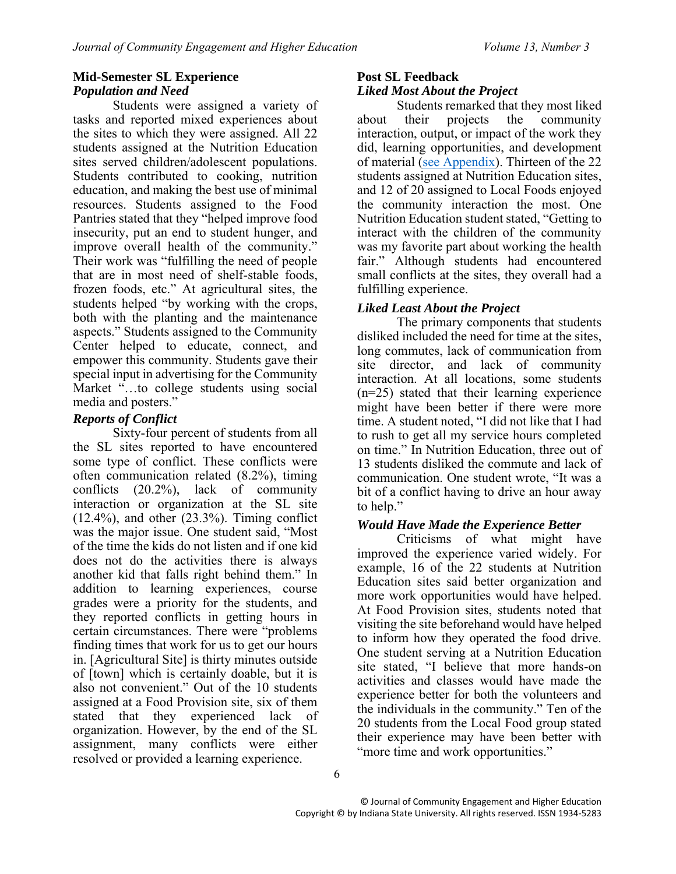## **Mid-Semester SL Experience** *Population and Need*

Students were assigned a variety of tasks and reported mixed experiences about the sites to which they were assigned. All 22 students assigned at the Nutrition Education sites served children/adolescent populations. Students contributed to cooking, nutrition education, and making the best use of minimal resources. Students assigned to the Food Pantries stated that they "helped improve food insecurity, put an end to student hunger, and improve overall health of the community." Their work was "fulfilling the need of people that are in most need of shelf-stable foods, frozen foods, etc." At agricultural sites, the students helped "by working with the crops, both with the planting and the maintenance aspects." Students assigned to the Community Center helped to educate, connect, and empower this community. Students gave their special input in advertising for the Community Market "…to college students using social media and posters."

## *Reports of Conflict*

Sixty-four percent of students from all the SL sites reported to have encountered some type of conflict. These conflicts were often communication related (8.2%), timing conflicts (20.2%), lack of community interaction or organization at the SL site  $(12.4\%)$ , and other  $(23.3\%)$ . Timing conflict was the major issue. One student said, "Most of the time the kids do not listen and if one kid does not do the activities there is always another kid that falls right behind them." In addition to learning experiences, course grades were a priority for the students, and they reported conflicts in getting hours in certain circumstances. There were "problems finding times that work for us to get our hours in. [Agricultural Site] is thirty minutes outside of [town] which is certainly doable, but it is also not convenient." Out of the 10 students assigned at a Food Provision site, six of them stated that they experienced lack of organization. However, by the end of the SL assignment, many conflicts were either resolved or provided a learning experience.

# **Post SL Feedback**

## *Liked Most About the Project*

<span id="page-5-0"></span>Students remarked that they most liked about their projects the community interaction, output, or impact of the work they did, learning opportunities, and development of material [\(see Appendix\)](#page-13-0). Thirteen of the 22 students assigned at Nutrition Education sites, and 12 of 20 assigned to Local Foods enjoyed the community interaction the most. One Nutrition Education student stated, "Getting to interact with the children of the community was my favorite part about working the health fair." Although students had encountered small conflicts at the sites, they overall had a fulfilling experience.

## *Liked Least About the Project*

The primary components that students disliked included the need for time at the sites, long commutes, lack of communication from site director, and lack of community interaction. At all locations, some students (n=25) stated that their learning experience might have been better if there were more time. A student noted, "I did not like that I had to rush to get all my service hours completed on time." In Nutrition Education, three out of 13 students disliked the commute and lack of communication. One student wrote, "It was a bit of a conflict having to drive an hour away to help."

## *Would Have Made the Experience Better*

Criticisms of what might have improved the experience varied widely. For example, 16 of the 22 students at Nutrition Education sites said better organization and more work opportunities would have helped. At Food Provision sites, students noted that visiting the site beforehand would have helped to inform how they operated the food drive. One student serving at a Nutrition Education site stated, "I believe that more hands-on activities and classes would have made the experience better for both the volunteers and the individuals in the community." Ten of the 20 students from the Local Food group stated their experience may have been better with "more time and work opportunities."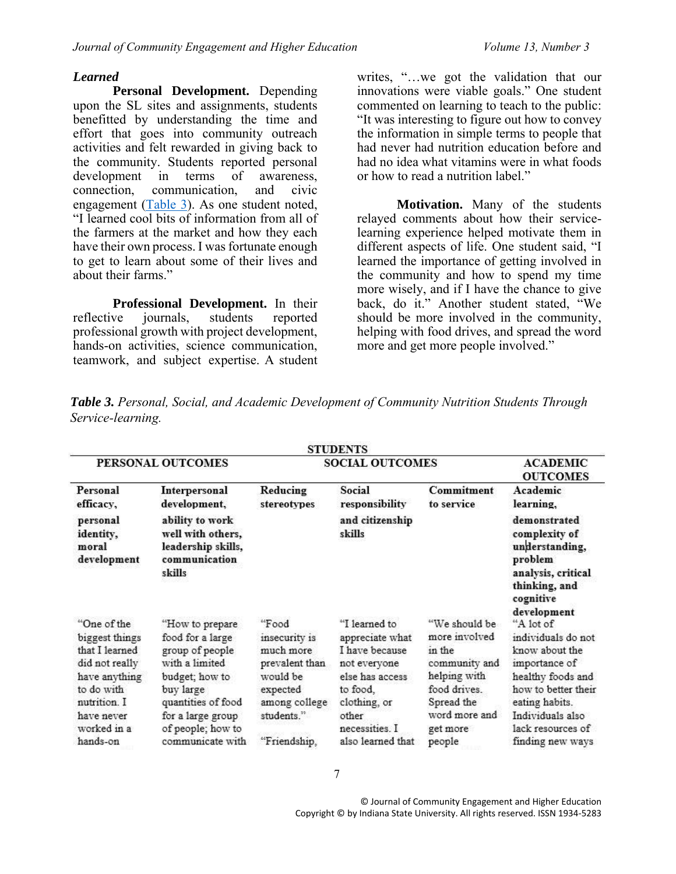#### *Learned*

**Personal Development.** Depending upon the SL sites and assignments, students benefitted by understanding the time and effort that goes into community outreach activities and felt rewarded in giving back to the community. Students reported personal<br>development in terms of awareness, development in terms of awareness, connection, communication, and civic engagement [\(Table 3\)](#page-6-0). As one student noted, "I learned cool bits of information from all of the farmers at the market and how they each have their own process. I was fortunate enough to get to learn about some of their lives and about their farms."

**Professional Development.** In their reflective journals, students reported professional growth with project development, hands-on activities, science communication, teamwork, and subject expertise. A student

writes, "…we got the validation that our innovations were viable goals." One student commented on learning to teach to the public: "It was interesting to figure out how to convey the information in simple terms to people that had never had nutrition education before and had no idea what vitamins were in what foods or how to read a nutrition label."

**Motivation.** Many of the students relayed comments about how their servicelearning experience helped motivate them in different aspects of life. One student said, "I learned the importance of getting involved in the community and how to spend my time more wisely, and if I have the chance to give back, do it." Another student stated, "We should be more involved in the community, helping with food drives, and spread the word more and get more people involved."

|                                                                                                                                               |                                                                                                                                                                         |                                                                                                              | <b>STUDENTS</b>                                                                                                                              |                                                                                                                                     |                                                                                                                                                                                          |
|-----------------------------------------------------------------------------------------------------------------------------------------------|-------------------------------------------------------------------------------------------------------------------------------------------------------------------------|--------------------------------------------------------------------------------------------------------------|----------------------------------------------------------------------------------------------------------------------------------------------|-------------------------------------------------------------------------------------------------------------------------------------|------------------------------------------------------------------------------------------------------------------------------------------------------------------------------------------|
|                                                                                                                                               | PERSONAL OUTCOMES                                                                                                                                                       | <b>SOCIAL OUTCOMES</b>                                                                                       | <b>ACADEMIC</b><br><b>OUTCOMES</b>                                                                                                           |                                                                                                                                     |                                                                                                                                                                                          |
| Personal<br>efficacy,                                                                                                                         | Interpersonal<br>development,                                                                                                                                           | Reducing<br>stereotypes                                                                                      | Social<br>responsibility                                                                                                                     | Commitment<br>to service                                                                                                            | Academic<br>learning,                                                                                                                                                                    |
| personal<br>identity,<br>moral<br>development                                                                                                 | ability to work<br>well with others,<br>leadership skills,<br>communication<br>skills                                                                                   |                                                                                                              | and citizenship<br>skills                                                                                                                    |                                                                                                                                     | demonstrated<br>complexity of<br>understanding,<br>problem<br>analysis, critical<br>thinking, and<br>cognitive                                                                           |
| "One of the<br>biggest things<br>that I learned<br>did not really<br>have anything<br>to do with<br>nutrition. I<br>have never<br>worked in a | "How to prepare<br>food for a large<br>group of people<br>with a limited<br>budget; how to<br>buy large<br>quantities of food<br>for a large group<br>of people; how to | "Food<br>insecurity is<br>much more<br>prevalent than<br>would be<br>expected<br>among college<br>students." | "I learned to<br>appreciate what<br>I have because<br>not everyone<br>else has access<br>to food,<br>clothing, or<br>other<br>necessities. I | "We should be<br>more involved<br>in the<br>community and<br>helping with<br>food drives<br>Spread the<br>word more and<br>get more | development<br>"A lot of<br>individuals do not<br>know about the<br>importance of<br>healthy foods and<br>how to better their<br>eating habits.<br>Individuals also<br>lack resources of |
| hands-on                                                                                                                                      | communicate with                                                                                                                                                        | "Friendship,                                                                                                 | also learned that                                                                                                                            | people                                                                                                                              | finding new ways                                                                                                                                                                         |

<span id="page-6-0"></span>*Table 3. Personal, Social, and Academic Development of Community Nutrition Students Through Service-learning.*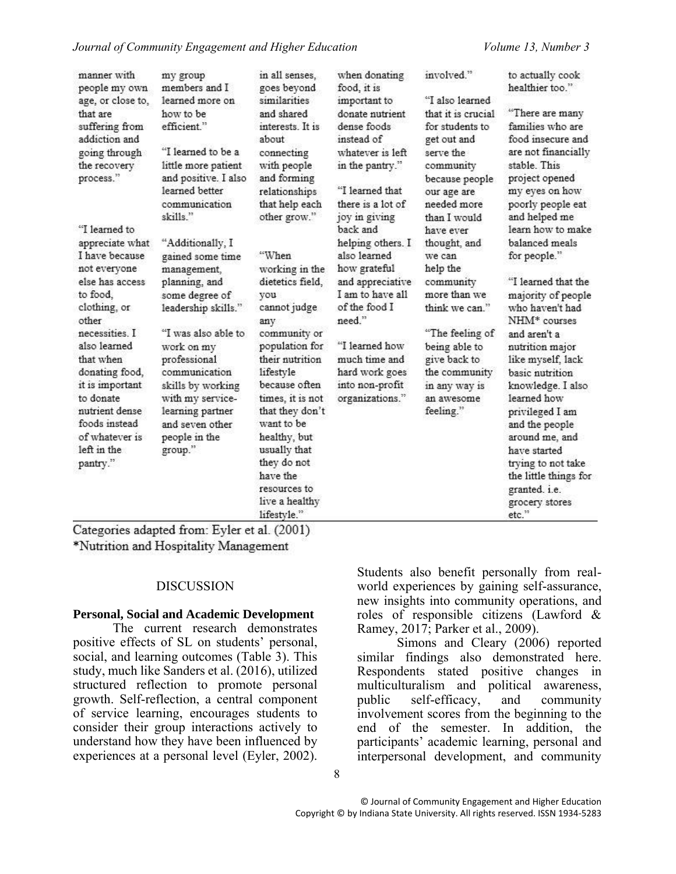| manner with<br>people my own<br>age, or close to,<br>that are<br>suffering from<br>addiction and<br>going through<br>the recovery<br>process."                                                                                                                                                              | my group<br>members and I<br>learned more on<br>how to be<br>efficient."<br>"I learned to be a<br>little more patient<br>and positive. I also<br>learned better<br>communication<br>skills."                                                                                                    | in all senses,<br>goes beyond<br>similarities<br>and shared<br>interests. It is<br>about<br>connecting<br>with people<br>and forming<br>relationships<br>that help each<br>other grow."                                                                                                                                       | when donating<br>food, it is<br>important to<br>donate nutrient<br>dense foods<br>instead of<br>whatever is left<br>in the pantry."<br>"I learned that<br>there is a lot of<br>joy in giving                                | involved."<br>"I also learned<br>that it is crucial<br>for students to<br>get out and<br>serve the<br>community<br>because people<br>our age are<br>needed more<br>than I would                                 | to actually cook<br>healthier too."<br>"There are many<br>families who are<br>food insecure and<br>are not financially<br>stable This<br>project opened<br>my eyes on how<br>poorly people eat<br>and helped me                                                                                                                                                                                                                  |
|-------------------------------------------------------------------------------------------------------------------------------------------------------------------------------------------------------------------------------------------------------------------------------------------------------------|-------------------------------------------------------------------------------------------------------------------------------------------------------------------------------------------------------------------------------------------------------------------------------------------------|-------------------------------------------------------------------------------------------------------------------------------------------------------------------------------------------------------------------------------------------------------------------------------------------------------------------------------|-----------------------------------------------------------------------------------------------------------------------------------------------------------------------------------------------------------------------------|-----------------------------------------------------------------------------------------------------------------------------------------------------------------------------------------------------------------|----------------------------------------------------------------------------------------------------------------------------------------------------------------------------------------------------------------------------------------------------------------------------------------------------------------------------------------------------------------------------------------------------------------------------------|
| "I learned to<br>appreciate what<br>I have because<br>not everyone<br>else has access<br>to food.<br>clothing, or<br>other<br>necessities. I<br>also learned<br>that when<br>donating food,<br>it is important<br>to donate<br>nutrient dense<br>foods instead<br>of whatever is<br>left in the<br>pantry." | "Additionally, I<br>gained some time<br>management,<br>planning, and<br>some degree of<br>leadership skills."<br>"I was also able to<br>work on my<br>professional<br>communication<br>skills by working<br>with my service-<br>learning partner<br>and seven other<br>people in the<br>group." | "When<br>working in the<br>dietetics field,<br>you<br>cannot judge<br>any<br>community or<br>population for<br>their nutrition<br>lifestyle<br>because often<br>times, it is not<br>that they don't<br>want to be<br>healthy, but<br>usually that<br>they do not<br>have the<br>resources to<br>live a healthy<br>lifestyle." | back and<br>helping others. I<br>also learned<br>how grateful<br>and appreciative<br>I am to have all<br>of the food I<br>need."<br>"I learned how<br>much time and<br>hard work goes<br>into non-profit<br>organizations." | have ever<br>thought, and<br>we can<br>help the<br>community<br>more than we<br>think we can."<br>"The feeling of<br>being able to<br>give back to<br>the community<br>in any way is<br>an awesome<br>feeling." | learn how to make<br>balanced meals<br>for people."<br>"I learned that the<br>majority of people<br>who haven't had<br>NHM <sup>*</sup> courses<br>and aren't a<br>nutrition major<br>like myself, lack<br>basic nutrition<br>knowledge. I also<br>learned how<br>privileged I am<br>and the people<br>around me, and<br>have started<br>trying to not take<br>the little things for<br>granted. i.e.<br>grocery stores<br>etc." |

Categories adapted from: Eyler et al. (2001) \*Nutrition and Hospitality Management

#### DISCUSSION

#### **Personal, Social and Academic Development**

The current research demonstrates positive effects of SL on students' personal, social, and learning outcomes (Table 3). This study, much like Sanders et al. (2016), utilized structured reflection to promote personal growth. Self-reflection, a central component of service learning, encourages students to consider their group interactions actively to understand how they have been influenced by experiences at a personal level (Eyler, 2002).

Students also benefit personally from realworld experiences by gaining self-assurance, new insights into community operations, and roles of responsible citizens (Lawford & Ramey, 2017; Parker et al., 2009).

Simons and Cleary (2006) reported similar findings also demonstrated here. Respondents stated positive changes in multiculturalism and political awareness, public self-efficacy, and community involvement scores from the beginning to the end of the semester. In addition, the participants' academic learning, personal and interpersonal development, and community

8

© Journal of Community Engagement and Higher Education Copyright © by Indiana State University. All rights reserved. ISSN 1934-5283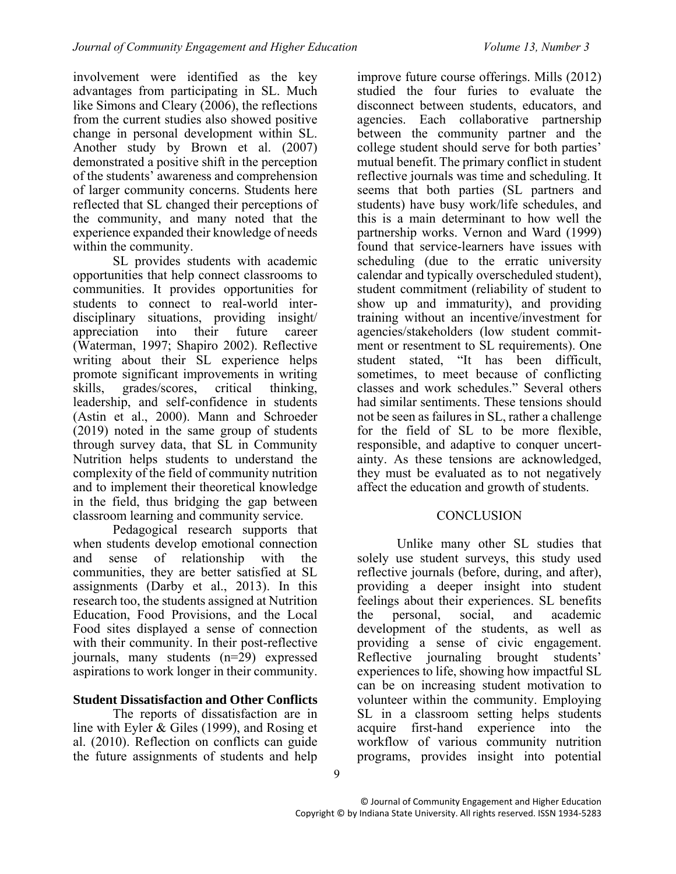involvement were identified as the key advantages from participating in SL. Much like Simons and Cleary (2006), the reflections from the current studies also showed positive change in personal development within SL. Another study by Brown et al. (2007) demonstrated a positive shift in the perception of the students' awareness and comprehension of larger community concerns. Students here reflected that SL changed their perceptions of the community, and many noted that the experience expanded their knowledge of needs within the community.

SL provides students with academic opportunities that help connect classrooms to communities. It provides opportunities for students to connect to real-world interdisciplinary situations, providing insight/ appreciation into their future career (Waterman, 1997; Shapiro 2002). Reflective writing about their SL experience helps promote significant improvements in writing skills, grades/scores, critical thinking, leadership, and self-confidence in students (Astin et al., 2000). Mann and Schroeder (2019) noted in the same group of students through survey data, that SL in Community Nutrition helps students to understand the complexity of the field of community nutrition and to implement their theoretical knowledge in the field, thus bridging the gap between classroom learning and community service.

Pedagogical research supports that when students develop emotional connection<br>and sense of relationship with the and sense of relationship communities, they are better satisfied at SL assignments (Darby et al., 2013). In this research too, the students assigned at Nutrition Education, Food Provisions, and the Local Food sites displayed a sense of connection with their community. In their post-reflective journals, many students (n=29) expressed aspirations to work longer in their community.

## **Student Dissatisfaction and Other Conflicts**

The reports of dissatisfaction are in line with Eyler & Giles (1999), and Rosing et al. (2010). Reflection on conflicts can guide the future assignments of students and help

improve future course offerings. Mills (2012) studied the four furies to evaluate the disconnect between students, educators, and agencies. Each collaborative partnership between the community partner and the college student should serve for both parties' mutual benefit. The primary conflict in student reflective journals was time and scheduling. It seems that both parties (SL partners and students) have busy work/life schedules, and this is a main determinant to how well the partnership works. Vernon and Ward (1999) found that service-learners have issues with scheduling (due to the erratic university calendar and typically overscheduled student), student commitment (reliability of student to show up and immaturity), and providing training without an incentive/investment for agencies/stakeholders (low student commitment or resentment to SL requirements). One student stated, "It has been difficult, sometimes, to meet because of conflicting classes and work schedules." Several others had similar sentiments. These tensions should not be seen as failures in SL, rather a challenge for the field of SL to be more flexible, responsible, and adaptive to conquer uncertainty. As these tensions are acknowledged, they must be evaluated as to not negatively affect the education and growth of students.

# **CONCLUSION**

Unlike many other SL studies that solely use student surveys, this study used reflective journals (before, during, and after), providing a deeper insight into student feelings about their experiences. SL benefits the personal, social, and academic development of the students, as well as providing a sense of civic engagement. Reflective journaling brought students' experiences to life, showing how impactful SL can be on increasing student motivation to volunteer within the community. Employing SL in a classroom setting helps students acquire first-hand experience into the workflow of various community nutrition programs, provides insight into potential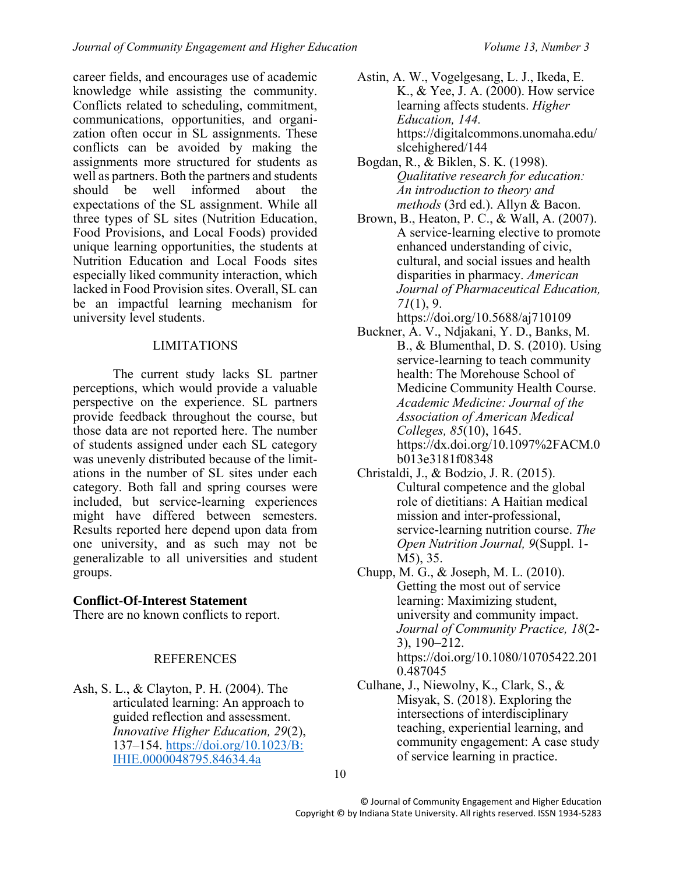career fields, and encourages use of academic knowledge while assisting the community. Conflicts related to scheduling, commitment, communications, opportunities, and organization often occur in SL assignments. These conflicts can be avoided by making the assignments more structured for students as well as partners. Both the partners and students should be well informed about the expectations of the SL assignment. While all three types of SL sites (Nutrition Education, Food Provisions, and Local Foods) provided unique learning opportunities, the students at Nutrition Education and Local Foods sites especially liked community interaction, which lacked in Food Provision sites. Overall, SL can be an impactful learning mechanism for university level students.

# LIMITATIONS

The current study lacks SL partner perceptions, which would provide a valuable perspective on the experience. SL partners provide feedback throughout the course, but those data are not reported here. The number of students assigned under each SL category was unevenly distributed because of the limitations in the number of SL sites under each category. Both fall and spring courses were included, but service-learning experiences might have differed between semesters. Results reported here depend upon data from one university, and as such may not be generalizable to all universities and student groups.

# **Conflict-Of-Interest Statement**

There are no known conflicts to report.

# REFERENCES

Ash, S. L., & Clayton, P. H. (2004). The articulated learning: An approach to guided reflection and assessment. *Innovative Higher Education, 29*(2), 137–154. [https://doi.org/10.1023/B:](https://doi.org/10.1023/B:%20IHIE.0000048795.84634.4a)  [IHIE.0000048795.84634.4a](https://doi.org/10.1023/B:%20IHIE.0000048795.84634.4a)

- Astin, A. W., Vogelgesang, L. J., Ikeda, E. K., & Yee, J. A. (2000). How service learning affects students. *Higher Education, 144.*  https://digitalcommons.unomaha.edu/ slcehighered/144
- Bogdan, R., & Biklen, S. K. (1998). *Qualitative research for education: An introduction to theory and methods* (3rd ed.). Allyn & Bacon.
- Brown, B., Heaton, P. C., & Wall, A. (2007). A service-learning elective to promote enhanced understanding of civic, cultural, and social issues and health disparities in pharmacy. *American Journal of Pharmaceutical Education, 71*(1), 9. https://doi.org/10.5688/aj710109
- Buckner, A. V., Ndjakani, Y. D., Banks, M. B., & Blumenthal, D. S. (2010). Using service-learning to teach community health: The Morehouse School of Medicine Community Health Course. *Academic Medicine: Journal of the Association of American Medical Colleges, 85*(10), 1645. https://dx.doi.org/10.1097%2FACM.0 b013e3181f08348
- Christaldi, J., & Bodzio, J. R. (2015). Cultural competence and the global role of dietitians: A Haitian medical mission and inter-professional, service-learning nutrition course. *The Open Nutrition Journal, 9*(Suppl. 1- M5), 35.
- Chupp, M. G., & Joseph, M. L. (2010). Getting the most out of service learning: Maximizing student, university and community impact. *Journal of Community Practice, 18*(2- 3), 190–212. https://doi.org/10.1080/10705422.201 0.487045
- Culhane, J., Niewolny, K., Clark, S., & Misyak, S. (2018). Exploring the intersections of interdisciplinary teaching, experiential learning, and community engagement: A case study of service learning in practice.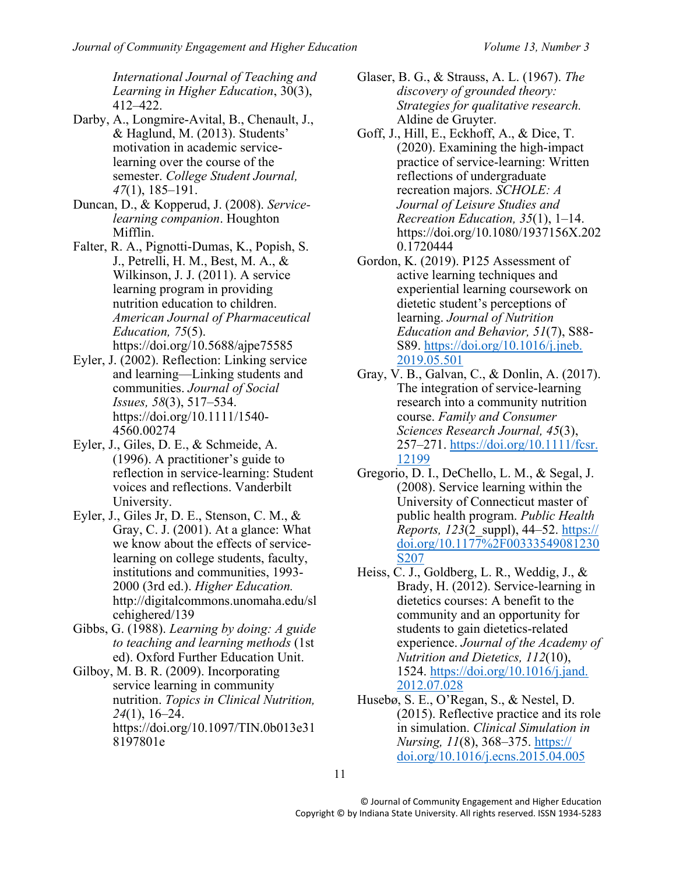*International Journal of Teaching and Learning in Higher Education*, 30(3), 412–422.

- Darby, A., Longmire-Avital, B., Chenault, J., & Haglund, M. (2013). Students' motivation in academic servicelearning over the course of the semester. *College Student Journal, 47*(1), 185–191.
- Duncan, D., & Kopperud, J. (2008). *Servicelearning companion*. Houghton Mifflin.
- Falter, R. A., Pignotti-Dumas, K., Popish, S. J., Petrelli, H. M., Best, M. A., & Wilkinson, J. J. (2011). A service learning program in providing nutrition education to children. *American Journal of Pharmaceutical Education, 75*(5). https://doi.org/10.5688/ajpe75585
- Eyler, J. (2002). Reflection: Linking service and learning—Linking students and communities. *Journal of Social Issues, 58*(3), 517–534. https://doi.org/10.1111/1540- 4560.00274
- Eyler, J., Giles, D. E., & Schmeide, A. (1996). A practitioner's guide to reflection in service-learning: Student voices and reflections. Vanderbilt University.
- Eyler, J., Giles Jr, D. E., Stenson, C. M., & Gray, C. J. (2001). At a glance: What we know about the effects of servicelearning on college students, faculty, institutions and communities, 1993- 2000 (3rd ed.). *Higher Education.* http://digitalcommons.unomaha.edu/sl cehighered/139
- Gibbs, G. (1988). *Learning by doing: A guide to teaching and learning methods* (1st ed). Oxford Further Education Unit.
- Gilboy, M. B. R. (2009). Incorporating service learning in community nutrition. *Topics in Clinical Nutrition, 24*(1), 16–24. https://doi.org/10.1097/TIN.0b013e31 8197801e
- Glaser, B. G., & Strauss, A. L. (1967). *The discovery of grounded theory: Strategies for qualitative research.*  Aldine de Gruyter.
- Goff, J., Hill, E., Eckhoff, A., & Dice, T. (2020). Examining the high-impact practice of service-learning: Written reflections of undergraduate recreation majors. *SCHOLE: A Journal of Leisure Studies and Recreation Education, 35*(1), 1–14. https://doi.org/10.1080/1937156X.202 0.1720444
- Gordon, K. (2019). P125 Assessment of active learning techniques and experiential learning coursework on dietetic student's perceptions of learning. *Journal of Nutrition Education and Behavior, 51*(7), S88- S89. [https://doi.org/10.1016/j.jneb.](https://doi.org/10.1016/j.jneb.%202019.05.501)  [2019.05.501](https://doi.org/10.1016/j.jneb.%202019.05.501)
- Gray, V. B., Galvan, C., & Donlin, A. (2017). The integration of service-learning research into a community nutrition course. *Family and Consumer Sciences Research Journal, 45*(3), 257–271. [https://doi.org/10.1111/fcsr.](https://doi.org/10.1111/fcsr.%2012199)  [12199](https://doi.org/10.1111/fcsr.%2012199)
- Gregorio, D. I., DeChello, L. M., & Segal, J. (2008). Service learning within the University of Connecticut master of public health program. *Public Health Reports, 123*(2\_suppl), 44–52. https:// doi.org/10.1177%2F00333549081230 S207
- Heiss, C. J., Goldberg, L. R., Weddig, J., & Brady, H. (2012). Service-learning in dietetics courses: A benefit to the community and an opportunity for students to gain dietetics-related experience. *Journal of the Academy of Nutrition and Dietetics, 112*(10), 1524. [https://doi.org/10.1016/j.jand.](https://doi.org/10.1016/j.jand.%202012.07.028)  [2012.07.028](https://doi.org/10.1016/j.jand.%202012.07.028)
- Husebø, S. E., O'Regan, S., & Nestel, D. (2015). Reflective practice and its role in simulation. *Clinical Simulation in Nursing, 11*(8), 368–375. https:// doi.org/10.1016/j.ecns.2015.04.005

11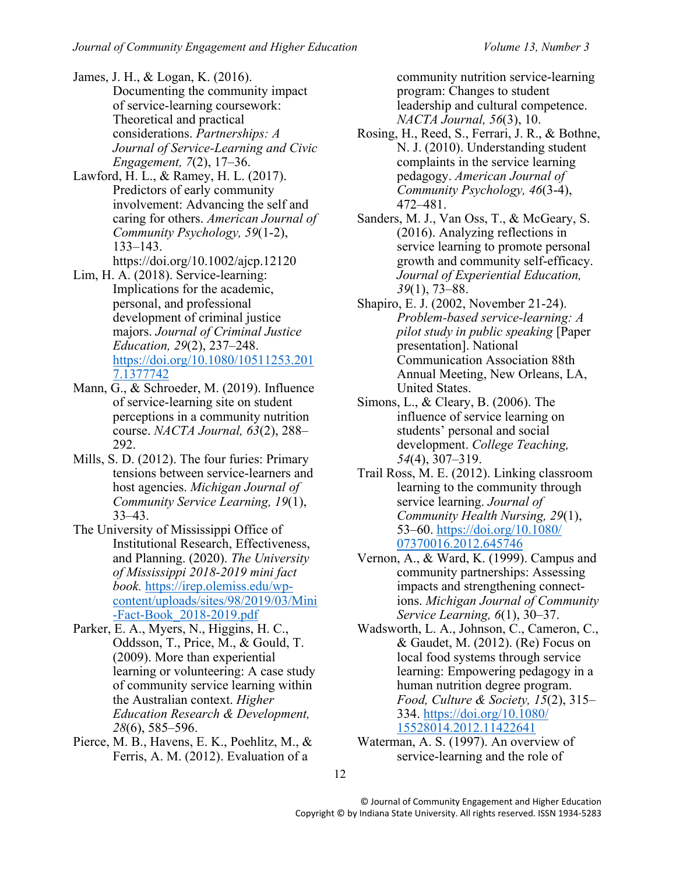James, J. H., & Logan, K. (2016). Documenting the community impact of service-learning coursework: Theoretical and practical considerations. *Partnerships: A Journal of Service-Learning and Civic Engagement, 7*(2), 17–36.

Lawford, H. L., & Ramey, H. L. (2017). Predictors of early community involvement: Advancing the self and caring for others. *American Journal of Community Psychology, 59*(1-2), 133–143.

https://doi.org/10.1002/ajcp.12120

- Lim, H. A. (2018). Service-learning: Implications for the academic, personal, and professional development of criminal justice majors. *Journal of Criminal Justice Education, 29*(2), 237–248. [https://doi.org/10.1080/10511253.201](https://doi.org/10.1080/10511253.2017.1377742) [7.1377742](https://doi.org/10.1080/10511253.2017.1377742)
- Mann, G., & Schroeder, M. (2019). Influence of service-learning site on student perceptions in a community nutrition course. *NACTA Journal, 63*(2), 288– 292.
- Mills, S. D. (2012). The four furies: Primary tensions between service-learners and host agencies. *Michigan Journal of Community Service Learning, 19*(1), 33–43.
- The University of Mississippi Office of Institutional Research, Effectiveness, and Planning. (2020). *The University of Mississippi 2018-2019 mini fact book.* https://irep.olemiss.edu/wpcontent/uploads/sites/98/2019/03/Mini -Fact-Book\_2018-2019.pdf
- Parker, E. A., Myers, N., Higgins, H. C., Oddsson, T., Price, M., & Gould, T. (2009). More than experiential learning or volunteering: A case study of community service learning within the Australian context. *Higher Education Research & Development, 28*(6), 585–596.
- Pierce, M. B., Havens, E. K., Poehlitz, M., & Ferris, A. M. (2012). Evaluation of a

community nutrition service-learning program: Changes to student leadership and cultural competence. *NACTA Journal, 56*(3), 10.

- Rosing, H., Reed, S., Ferrari, J. R., & Bothne, N. J. (2010). Understanding student complaints in the service learning pedagogy. *American Journal of Community Psychology, 46*(3-4), 472–481.
- Sanders, M. J., Van Oss, T., & McGeary, S. (2016). Analyzing reflections in service learning to promote personal growth and community self-efficacy. *Journal of Experiential Education, 39*(1), 73–88.
- Shapiro, E. J. (2002, November 21-24). *Problem-based service-learning: A pilot study in public speaking* [Paper presentation]. National Communication Association 88th Annual Meeting, New Orleans, LA, United States.
- Simons, L., & Cleary, B. (2006). The influence of service learning on students' personal and social development. *College Teaching, 54*(4), 307–319.
- Trail Ross, M. E. (2012). Linking classroom learning to the community through service learning. *Journal of Community Health Nursing, 29*(1), 53–60. [https://doi.org/10.1080/](https://doi.org/10.1080/%2007370016.2012.645746)  [07370016.2012.645746](https://doi.org/10.1080/%2007370016.2012.645746)
- Vernon, A., & Ward, K. (1999). Campus and community partnerships: Assessing impacts and strengthening connections. *Michigan Journal of Community Service Learning, 6*(1), 30–37.
- Wadsworth, L. A., Johnson, C., Cameron, C., & Gaudet, M. (2012). (Re) Focus on local food systems through service learning: Empowering pedagogy in a human nutrition degree program. *Food, Culture & Society, 15*(2), 315– 334. [https://doi.org/10.1080/](https://doi.org/10.1080/%2015528014.2012.11422641)  [15528014.2012.11422641](https://doi.org/10.1080/%2015528014.2012.11422641)
- Waterman, A. S. (1997). An overview of service-learning and the role of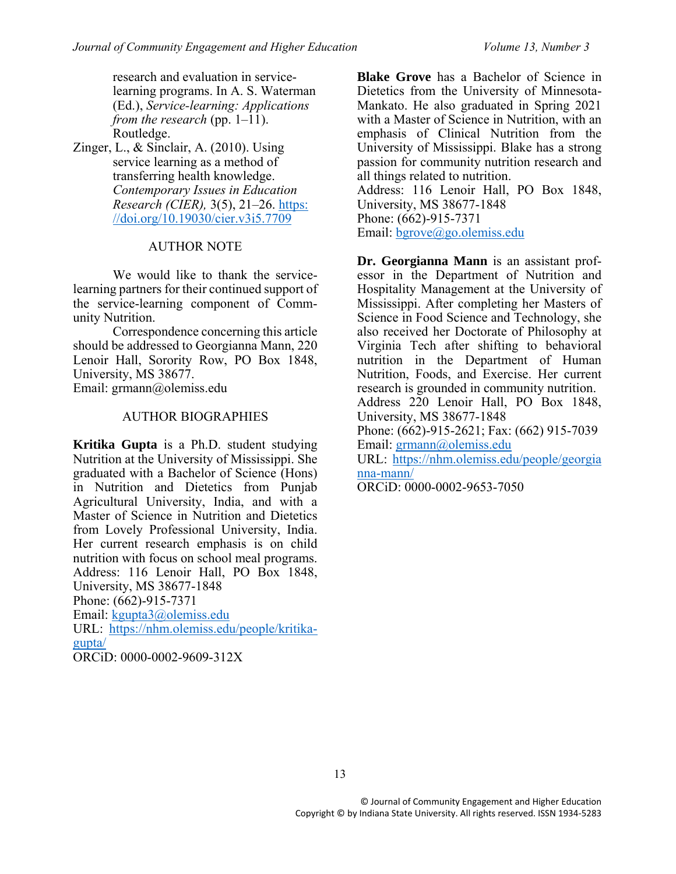research and evaluation in servicelearning programs. In A. S. Waterman (Ed.), *Service-learning: Applications from the research* (pp. 1–11). Routledge.

Zinger, L., & Sinclair, A. (2010). Using service learning as a method of transferring health knowledge. *Contemporary Issues in Education Research (CIER),* 3(5), 21–26. [https:](https://doi.org/10.19030/cier.v3i5.7709) [//doi.org/10.19030/cier.v3i5.7709](https://doi.org/10.19030/cier.v3i5.7709)

## AUTHOR NOTE

We would like to thank the servicelearning partners for their continued support of the service-learning component of Community Nutrition.

Correspondence concerning this article should be addressed to Georgianna Mann, 220 Lenoir Hall, Sorority Row, PO Box 1848, University, MS 38677.

Email: grmann@olemiss.edu

#### AUTHOR BIOGRAPHIES

**Kritika Gupta** is a Ph.D. student studying Nutrition at the University of Mississippi. She graduated with a Bachelor of Science (Hons) in Nutrition and Dietetics from Punjab Agricultural University, India, and with a Master of Science in Nutrition and Dietetics from Lovely Professional University, India. Her current research emphasis is on child nutrition with focus on school meal programs. Address: 116 Lenoir Hall, PO Box 1848, University, MS 38677-1848 Phone: (662)-915-7371 Email: [kgupta3@olemiss.edu](mailto:kgupta3@olemiss.edu) URL: [https://nhm.olemiss.edu/people/kritika](https://nhm.olemiss.edu/people/kritika-gupta/)[gupta/](https://nhm.olemiss.edu/people/kritika-gupta/) ORCiD: 0000-0002-9609-312X

**Blake Grove** has a Bachelor of Science in Dietetics from the University of Minnesota-Mankato. He also graduated in Spring 2021 with a Master of Science in Nutrition, with an emphasis of Clinical Nutrition from the University of Mississippi. Blake has a strong passion for community nutrition research and all things related to nutrition. Address: 116 Lenoir Hall, PO Box 1848, University, MS 38677-1848 Phone: (662)-915-7371

Email: [bgrove@go.olemiss.edu](mailto:bgrove@go.olemiss.edu)

**Dr. Georgianna Mann** is an assistant professor in the Department of Nutrition and Hospitality Management at the University of Mississippi. After completing her Masters of Science in Food Science and Technology, she also received her Doctorate of Philosophy at Virginia Tech after shifting to behavioral nutrition in the Department of Human Nutrition, Foods, and Exercise. Her current research is grounded in community nutrition. Address 220 Lenoir Hall, PO Box 1848, University, MS 38677-1848 Phone: (662)-915-2621; Fax: (662) 915-7039 Email: [grmann@olemiss.edu](mailto:grmann@olemiss.edu) URL: [https://nhm.olemiss.edu/people/georgia](https://nhm.olemiss.edu/people/georgia%20nna-mann/)  [nna-mann/](https://nhm.olemiss.edu/people/georgia%20nna-mann/)

ORCiD: 0000-0002-9653-7050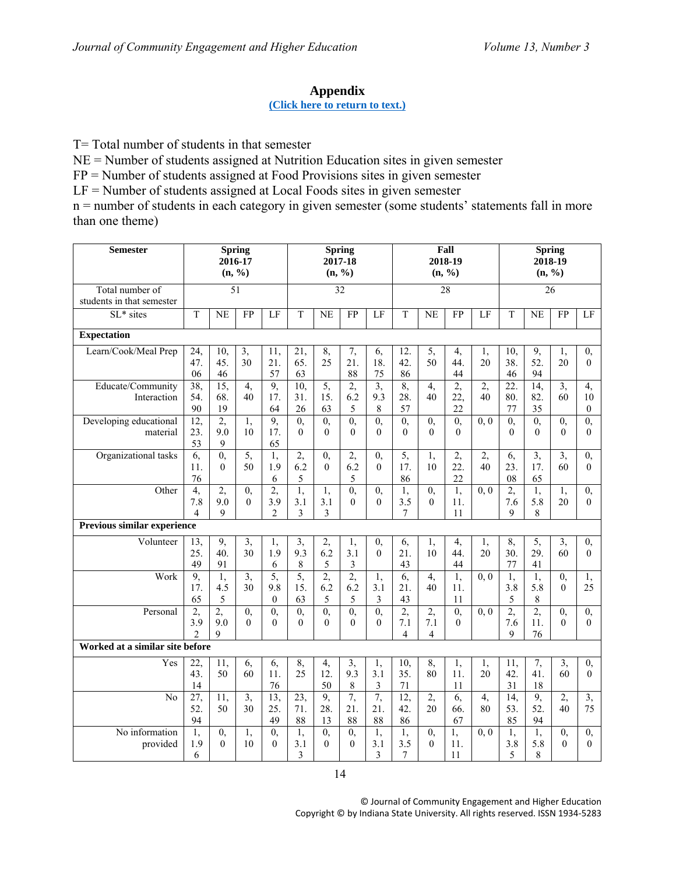# **Appendix**

## **[\(Click here to return to text.\)](#page-5-0)**

<span id="page-13-0"></span>T= Total number of students in that semester

NE = Number of students assigned at Nutrition Education sites in given semester

FP = Number of students assigned at Food Provisions sites in given semester

 $LF =$  Number of students assigned at Local Foods sites in given semester

n = number of students in each category in given semester (some students' statements fall in more than one theme)

| <b>Semester</b>                              | <b>Spring</b><br>2016-17<br>(n, %) |                              |                            |                              |                                |                             | <b>Spring</b><br>2017-18<br>(n, %) |                            |                                         |                             | Fall<br>2018-19<br>(n, %)     |                      | <b>Spring</b><br>2018-19<br>(n, %)   |                              |                            |                                      |
|----------------------------------------------|------------------------------------|------------------------------|----------------------------|------------------------------|--------------------------------|-----------------------------|------------------------------------|----------------------------|-----------------------------------------|-----------------------------|-------------------------------|----------------------|--------------------------------------|------------------------------|----------------------------|--------------------------------------|
| Total number of<br>students in that semester |                                    |                              | $\overline{51}$            |                              |                                |                             | 32                                 |                            | $\overline{28}$                         |                             |                               |                      | 26                                   |                              |                            |                                      |
| SL* sites                                    | $\mathbf T$                        | <b>NE</b>                    | FP                         | LF                           | $\mathbf T$                    | NE                          | FP                                 | LF                         | T                                       | <b>NE</b>                   | FP                            | LF                   | T                                    | NE                           | FP                         | LF                                   |
| <b>Expectation</b>                           |                                    |                              |                            |                              |                                |                             |                                    |                            |                                         |                             |                               |                      |                                      |                              |                            |                                      |
| Learn/Cook/Meal Prep                         | 24,<br>47.<br>06                   | 10,<br>45.<br>46             | 3,<br>30                   | 11,<br>21.<br>57             | 21,<br>65.<br>63               | 8,<br>25                    | 7,<br>21.<br>88                    | 6,<br>18.<br>75            | 12.<br>42.<br>86                        | 5,<br>50                    | 4,<br>44.<br>44               | 1,<br>20             | 10,<br>38.<br>46                     | 9,<br>52.<br>94              | 1,<br>20                   | 0,<br>$\theta$                       |
| Educate/Community<br>Interaction             | $\overline{38}$<br>54.<br>90       | $\overline{15}$<br>68.<br>19 | $\overline{4}$<br>40       | 9,<br>17.<br>64              | $\overline{10}$<br>31.<br>26   | $\overline{5}$<br>15.<br>63 | $\overline{2}$<br>6.2<br>5         | $\overline{3}$<br>9.3<br>8 | 8,<br>28.<br>57                         | $\overline{4}$<br>40        | 2,<br>22,<br>22               | $\overline{2}$<br>40 | $\overline{22}$<br>80.<br>77         | $\overline{14}$<br>82.<br>35 | $\overline{3}$<br>60       | $\overline{4}$<br>10<br>$\mathbf{0}$ |
| Developing educational<br>material           | $\overline{12}$<br>23.<br>53       | $\overline{2}$<br>9.0<br>9   | $\overline{1}$ ,<br>10     | 9,<br>17.<br>65              | $\overline{0}$<br>$\theta$     | $\overline{0}$<br>$\Omega$  | $\overline{0}$<br>$\Omega$         | $\overline{0}$<br>$\Omega$ | $\overline{0}$<br>$\Omega$              | $\overline{0}$<br>$\Omega$  | $\overline{0}$<br>$\Omega$    | $\overline{0,0}$     | $\overline{0}$<br>$\Omega$           | $\overline{0}$<br>$\Omega$   | $\overline{0}$<br>$\Omega$ | $\overline{0}$<br>$\Omega$           |
| Organizational tasks                         | 6,<br>11.<br>76                    | $\overline{0}$<br>$\theta$   | 5,<br>50                   | $\overline{1}$<br>1.9<br>6   | 2,<br>6.2<br>5                 | $\overline{0}$<br>$\Omega$  | 2,<br>6.2<br>5                     | $\mathbf{0},$<br>$\theta$  | 5,<br>17.<br>86                         | 1,<br>10                    | 2,<br>22.<br>22               | 2,<br>40             | 6,<br>23.<br>08                      | $\overline{3}$<br>17.<br>65  | $\overline{3}$<br>60       | $\overline{0}$<br>$\theta$           |
| Other                                        | 4,<br>7.8<br>4                     | 2,<br>9.0<br>9               | $\overline{0}$<br>$\theta$ | 2,<br>3.9<br>$\overline{c}$  | 1,<br>3.1<br>3                 | 1,<br>3.1<br>3              | $\overline{0}$<br>$\Omega$         | 0,<br>$\theta$             | 1,<br>3.5<br>7                          | $\overline{0}$<br>$\theta$  | 1,<br>11.<br>11               | 0, 0                 | 2,<br>7.6<br>9                       | 1,<br>5.8<br>8               | 1,<br>20                   | 0,<br>$\theta$                       |
| Previous similar experience                  |                                    |                              |                            |                              |                                |                             |                                    |                            |                                         |                             |                               |                      |                                      |                              |                            |                                      |
| Volunteer                                    | 13,<br>25.<br>49                   | 9,<br>40.<br>91              | 3,<br>30                   | 1,<br>1.9<br>6               | 3,<br>9.3<br>8                 | 2,<br>6.2<br>5              | 1,<br>3.1<br>3                     | $\mathbf{0},$<br>$\theta$  | 6,<br>21.<br>43                         | 1,<br>10                    | 4,<br>44.<br>44               | 1,<br>20             | 8,<br>30.<br>77                      | 5,<br>29.<br>41              | 3,<br>60                   | 0,<br>$\theta$                       |
| Work                                         | 9,<br>17.<br>65                    | 1,<br>4.5<br>5               | $\overline{3}$<br>30       | 5,<br>9.8<br>$\mathbf{0}$    | 5,<br>15.<br>63                | 2,<br>6.2<br>5              | 2,<br>6.2<br>5                     | 1,<br>3.1<br>3             | 6,<br>21.<br>43                         | 4,<br>40                    | $\overline{1}$ ,<br>11.<br>11 | $\overline{0,0}$     | $\overline{1}$ ,<br>3.8<br>5         | $\overline{1}$ ,<br>5.8<br>8 | $\mathbf{0},$<br>$\theta$  | 1,<br>25                             |
| Personal                                     | 2,<br>3.9<br>$\mathfrak{D}$        | 2,<br>9.0<br>9               | $\overline{0}$<br>$\Omega$ | $\overline{0}$<br>$\theta$   | $\overline{0}$<br>$\theta$     | $\overline{0}$<br>$\theta$  | $\overline{0}$<br>$\Omega$         | $\overline{0}$<br>$\Omega$ | $\overline{2}$<br>7.1<br>$\overline{4}$ | 2,<br>7.1<br>$\overline{4}$ | $\overline{0}$<br>$\theta$    | 0, 0                 | $\overline{2}$<br>7.6<br>$\mathbf Q$ | $\overline{2}$<br>11.<br>76  | 0,<br>$\theta$             | 0,<br>$\theta$                       |
| Worked at a similar site before              |                                    |                              |                            |                              |                                |                             |                                    |                            |                                         |                             |                               |                      |                                      |                              |                            |                                      |
| Yes                                          | $\overline{22}$<br>43.<br>14       | $\overline{11}$<br>50        | 6,<br>60                   | 6,<br>11.<br>76              | 8,<br>25                       | 4,<br>12.<br>50             | $\overline{3}$<br>9.3<br>8         | 1,<br>3.1<br>3             | $\overline{10}$<br>35.<br>71            | 8,<br>80                    | $\overline{1}$ ,<br>11.<br>11 | 1,<br>20             | $\overline{11}$<br>42.<br>31         | 7,<br>41.<br>18              | 3,<br>60                   | $\overline{0}$<br>$\theta$           |
| N <sub>o</sub>                               | $\overline{27}$<br>52.<br>94       | 11,<br>50                    | $\overline{3}$<br>30       | $\overline{13}$<br>25.<br>49 | $\overline{23}$ ,<br>71.<br>88 | 9,<br>28.<br>13             | 7,<br>21.<br>88                    | 7,<br>21.<br>88            | $\overline{12}$<br>42.<br>86            | $\overline{2}$<br>20        | 6,<br>66.<br>67               | 4,<br>80             | $\overline{14}$<br>53.<br>85         | 9,<br>52.<br>94              | $\overline{2}$<br>40       | $\overline{3}$<br>75                 |
| No information<br>provided                   | 1,<br>1.9<br>6                     | $\overline{0}$<br>$\Omega$   | 1,<br>10                   | $\overline{0}$<br>$\theta$   | 1,<br>3.1<br>3                 | $\overline{0}$<br>$\theta$  | $\overline{0}$<br>$\Omega$         | 1,<br>3.1<br>3             | 1,<br>3.5<br>7                          | 0,<br>$\theta$              | 1,<br>11.<br>11               | 0, 0                 | 1,<br>3.8<br>5                       | 1,<br>5.8<br>8               | $\overline{0}$<br>$\theta$ | $\overline{0}$<br>$\theta$           |

14

© Journal of Community Engagement and Higher Education Copyright © by Indiana State University. All rights reserved. ISSN 1934-5283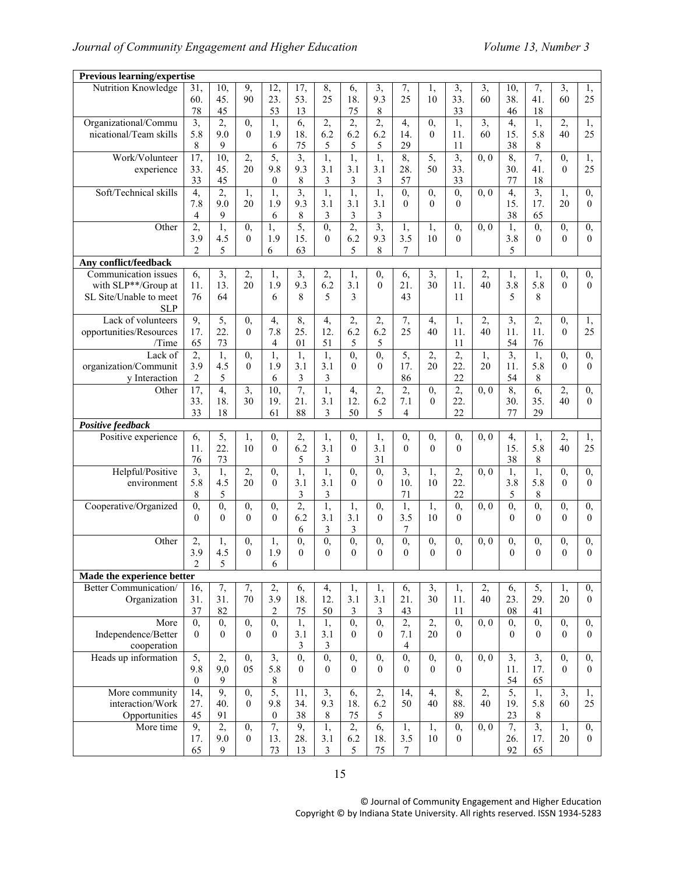| <b>Previous learning/expertise</b> |                  |                |                |                            |                            |                           |                            |                            |                            |                            |                  |                   |                  |                |                            |                                |
|------------------------------------|------------------|----------------|----------------|----------------------------|----------------------------|---------------------------|----------------------------|----------------------------|----------------------------|----------------------------|------------------|-------------------|------------------|----------------|----------------------------|--------------------------------|
| Nutrition Knowledge                | 31,              | 10,            | 9,             | $\overline{12}$            | 17,                        | 8,                        | 6,                         | 3,                         | 7,                         | 1,                         | $\overline{3}$   | 3,                | 10,              | 7,             | $\overline{3}$             | 1,                             |
|                                    | 60.              | 45.            | 90             | 23.                        | 53.                        | 25                        | 18.                        | 9.3                        | 25                         | 10                         | 33.              | 60                | 38.              | 41.            | 60                         | 25                             |
|                                    | 78               | 45             |                | 53                         | 13                         |                           | 75                         | 8                          |                            |                            | 33               |                   | 46               | 18             |                            |                                |
| Organizational/Commu               | $\overline{3}$ , | 2,             | 0,             | 1,                         | 6,                         | 2,                        | $\overline{2}$             | 2,                         | 4,                         | $\overline{0}$             | $\overline{1}$ , | $\overline{3}$    | 4,               | 1,             | 2,                         | 1,                             |
| nicational/Team skills             | 5.8              | 9.0            | $\theta$       | 1.9                        | 18.                        | 6.2                       | 6.2                        | 6.2                        | 14.                        | $\theta$                   | 11.              | 60                | 15.              | 5.8            | 40                         | 25                             |
|                                    | 8                | 9              |                | 6                          | 75                         | 5                         | 5                          | 5                          | 29                         |                            | 11               |                   | 38               | 8              |                            |                                |
| Work/Volunteer                     | $\overline{17}$  | 10,            | 2,             | 5,                         | $\overline{3}$             | 1,                        | $\overline{1}$ ,           | 1,                         | 8,                         | 5,                         | $\overline{3}$ , | 0, 0              | 8,               | 7,             | 0,                         | 1,                             |
| experience                         | 33.              | 45.            | 20             | 9.8                        | 9.3                        | 3.1                       | 3.1                        | 3.1                        | 28.                        | 50                         | 33.              |                   | 30.              | 41.            | $\Omega$                   | 25                             |
|                                    | 33               | 45             |                | $\mathbf{0}$               | $\,8\,$                    | 3                         | 3                          | 3                          | 57                         |                            | 33               |                   | 77               | 18             |                            |                                |
|                                    |                  |                |                |                            |                            |                           |                            |                            |                            |                            |                  |                   |                  |                |                            |                                |
| Soft/Technical skills              | 4,               | $\overline{2}$ | 1,             | $\overline{1}$             | 3,                         | 1,                        | $\overline{1}$ ,           | 1,                         | 0,                         | $\overline{0}$             | $\overline{0}$   | 0, 0              | 4,               | $\overline{3}$ | 1,                         | 0,                             |
|                                    | 7.8              | 9.0            | 20             | 1.9                        | 9.3                        | 3.1                       | 3.1                        | 3.1                        | $\Omega$                   | $\theta$                   | $\theta$         |                   | 15.              | 17.            | 20                         | $\mathbf{0}$                   |
|                                    | 4                | 9              |                | 6                          | 8                          | 3                         | 3                          | 3                          |                            |                            |                  |                   | 38               | 65             |                            |                                |
| Other                              | $\overline{2}$   | 1,             | 0,             | 1,                         | 5,                         | $\mathbf{0}$              | $\overline{2}$             | $\overline{3}$             | 1,                         | 1,                         | $\overline{0}$   | 0, 0              | 1,               | $\overline{0}$ | $\overline{0}$             | $\overline{0}$                 |
|                                    | 3.9              | 4.5            | $\theta$       | 1.9                        | 15.                        | $\theta$                  | 6.2                        | 9.3                        | 3.5                        | 10                         | $\theta$         |                   | 3.8              | $\theta$       | $\theta$                   | $\theta$                       |
|                                    | $\mathfrak{D}$   | 5              |                | 6                          | 63                         |                           | 5                          | 8                          | 7                          |                            |                  |                   | 5                |                |                            |                                |
| Any conflict/feedback              |                  |                |                |                            |                            |                           |                            |                            |                            |                            |                  |                   |                  |                |                            |                                |
| Communication issues               | 6,               | 3,             | 2,             | 1,                         | 3,                         | 2,                        | 1,                         | $\mathbf{0},$              | 6,                         | 3,                         | 1,               | 2,                | 1,               | 1,             | $\mathbf{0},$              | 0,                             |
| with SLP**/Group at                | 11.              | 13.            | 20             | 1.9                        | 9.3                        | 6.2                       | 3.1                        | $\theta$                   | 21.                        | 30                         | 11.              | 40                | 3.8              | 5.8            | $\Omega$                   | $\theta$                       |
| SL Site/Unable to meet             | 76               | 64             |                | 6                          | 8                          | 5                         | 3                          |                            | 43                         |                            | 11               |                   | 5                | 8              |                            |                                |
| <b>SLP</b>                         |                  |                |                |                            |                            |                           |                            |                            |                            |                            |                  |                   |                  |                |                            |                                |
| Lack of volunteers                 | 9,               | 5,             | 0,             | 4,                         | 8,                         | 4,                        | 2,                         | 2,                         | 7,                         | 4,                         | 1,               | 2,                | $\overline{3,}$  | 2,             | 0,                         | 1,                             |
| opportunities/Resources            | 17.              | 22.            | $\theta$       | 7.8                        | 25.                        | 12.                       | 6.2                        | 6.2                        | 25                         | 40                         | 11.              | 40                | 11.              | 11.            | $\Omega$                   | 25                             |
| /Time                              | 65               | 73             |                | 4                          | 01                         | 51                        | 5                          | 5                          |                            |                            | 11               |                   | 54               | 76             |                            |                                |
| Lack of                            | 2,               | 1,             | 0,             | 1,                         | 1,                         | 1,                        | $\overline{0}$             | $\overline{0}$             | 5,                         | 2,                         | 2,               | 1,                | $\overline{3}$ , | 1,             | 0,                         | 0,                             |
| organization/Communit              | 3.9              | 4.5            | $\theta$       | 1.9                        | 3.1                        | 3.1                       | $\Omega$                   | $\theta$                   | 17.                        | 20                         | 22.              | 20                | 11.              | 5.8            | $\Omega$                   |                                |
|                                    |                  |                |                |                            |                            |                           |                            |                            |                            |                            |                  |                   |                  |                |                            | $\overline{0}$                 |
| v Interaction                      | 2                | 5              |                | 6                          | $\mathfrak{Z}$             | 3                         |                            |                            | 86                         |                            | 22               |                   | 54               | 8              |                            |                                |
| Other                              | 17,              | $\overline{4}$ | 3,             | 10,                        | 7,                         | 1,                        | 4,                         | 2,                         | 2,                         | 0,                         | 2,               | 0, 0              | 8,               | 6,             | 2,                         | 0,                             |
|                                    | 33.              | 18.            | 30             | 19.                        | 21.                        | 3.1                       | 12.                        | 6.2                        | 7.1                        | $\Omega$                   | 22.              |                   | 30.              | 35.            | 40                         | $\mathbf{0}$                   |
|                                    | 33               | 18             |                | 61                         | 88                         | 3                         | 50                         | 5                          | 4                          |                            | 22               |                   | 77               | 29             |                            |                                |
| Positive feedback                  |                  |                |                |                            |                            |                           |                            |                            |                            |                            |                  |                   |                  |                |                            |                                |
|                                    |                  |                |                |                            |                            |                           |                            |                            |                            |                            |                  |                   |                  |                |                            |                                |
| Positive experience                | 6,               | 5,             | 1,             | $\mathbf{0},$              | 2,                         | 1,                        | 0,                         | 1,                         | 0,                         | 0,                         | $\mathbf{0},$    | 0, 0              | 4,               | 1,             | 2,                         | 1,                             |
|                                    | 11.              | 22.            | 10             | $\theta$                   | 6.2                        | 3.1                       | $\theta$                   | 3.1                        | $\theta$                   | $\theta$                   | $\theta$         |                   | 15.              | 5.8            | 40                         | 25                             |
|                                    | 76               | 73             |                |                            | 5                          | 3                         |                            | 31                         |                            |                            |                  |                   | 38               | $\,8\,$        |                            |                                |
|                                    |                  |                |                |                            |                            |                           | $\overline{0}$             |                            |                            |                            |                  | $0, \overline{0}$ |                  |                |                            |                                |
| Helpful/Positive<br>environment    | 3,               | 1,             | 2,<br>20       | $\overline{0}$<br>$\theta$ | 1,                         | 1,                        | $\theta$                   | $\overline{0}$<br>$\theta$ | 3,                         | 1,<br>10                   | 2,               |                   | 1,               | 1,             | $\overline{0}$<br>$\theta$ | $\overline{0}$<br>$\mathbf{0}$ |
|                                    | 5.8              | 4.5            |                |                            | 3.1                        | 3.1                       |                            |                            | 10.                        |                            | 22.              |                   | 3.8              | 5.8            |                            |                                |
|                                    | 8                | 5              |                |                            | 3                          | 3                         |                            |                            | 71                         |                            | 22               |                   | 5                | 8              |                            |                                |
| Cooperative/Organized              | 0,               | $\overline{0}$ | 0,             | $\overline{0}$             | $\overline{2}$             | 1,                        | 1,                         | 0,                         | 1,                         | 1,                         | $\overline{0}$ , | 0, 0              | $\overline{0}$   | $\overline{0}$ | $\mathbf{0},$              | 0,                             |
|                                    | $\Omega$         | $\theta$       | $\theta$       | $\theta$                   | 6.2                        | 3.1                       | 3.1                        | $\theta$                   | 3.5                        | 10                         | $\Omega$         |                   | $\theta$         | $\Omega$       | $\Omega$                   | $\mathbf{0}$                   |
|                                    |                  |                |                |                            | 6                          | 3                         | 3                          |                            | 7                          |                            |                  |                   |                  |                |                            |                                |
| Other                              | 2,               | 1,             | 0,             | 1,                         | $\overline{0}$             | $\overline{0}$            | $\overline{0}$             | $\overline{0}$             | $\overline{0}$             | $\overline{0}$             | 0,               | 0, 0              | 0,               | 0,             | $\overline{0}$             | $\mathbf{0},$                  |
|                                    | 3.9              | 4.5            | $\theta$       | 1.9                        | $\theta$                   | $\Omega$                  | $\Omega$                   | $\theta$                   | $\theta$                   | $\Omega$                   | $\Omega$         |                   | $\theta$         | $\Omega$       | $\theta$                   | $\theta$                       |
|                                    | $\overline{2}$   | 5              |                | 6                          |                            |                           |                            |                            |                            |                            |                  |                   |                  |                |                            |                                |
| Made the experience better         |                  |                |                |                            |                            |                           |                            |                            |                            |                            |                  |                   |                  |                |                            |                                |
| <b>Better Communication/</b>       | 16,              | 7,             | 7,             | 2,                         | 6,                         | 4,                        | 1,                         | 1,                         | 6,                         | 3,                         | 1,               | 2,                | 6,               | 5,             | 1,                         | 0,                             |
| Organization                       | 31.              | 31.            | 70             | 3.9                        | 18.                        | 12.                       | 3.1                        | 3.1                        | 21.                        | 30                         | 11.              | 40                | 23.              | 29.            | 20                         | $\mathbf{0}$                   |
|                                    | 37               | 82             |                | $\overline{c}$             | 75                         | 50                        | 3                          | 3                          | 43                         |                            | 11               |                   | 08               | 41             |                            |                                |
| More                               | $\overline{0}$   | 0,             | 0,             | $\overline{0}$             | 1,                         | 1,                        | $\overline{0}$             | $\mathbf{0},$              | 2,                         | 2,                         | 0,               | 0, 0              | 0,               | $\mathbf{0},$  | 0,                         | 0,                             |
| Independence/Better                | $\theta$         | $\overline{0}$ | $\theta$       | $\theta$                   | 3.1                        | 3.1                       | $\mathbf{0}$               | $\theta$                   | 7.1                        | 20                         | $\theta$         |                   | $\Omega$         | $\theta$       | $\mathbf{0}$               | $\overline{0}$                 |
| cooperation                        |                  |                |                |                            | $\mathfrak{Z}$             | 3                         |                            |                            | 4                          |                            |                  |                   |                  |                |                            |                                |
|                                    |                  |                |                |                            |                            |                           |                            |                            |                            |                            |                  |                   |                  |                |                            |                                |
| Heads up information               | 5,               | 2,             | 0,<br>05       | $\overline{3,}$            | $\overline{0}$<br>$\theta$ | $\mathbf{0},$<br>$\Omega$ | $\overline{0}$<br>$\theta$ | $\overline{0}$<br>$\Omega$ | $\overline{0}$<br>$\theta$ | $\overline{0}$<br>$\theta$ | 0,<br>$\Omega$   | $\overline{0,0}$  | $\overline{3,}$  | $\overline{3}$ | $\mathbf{0},$<br>$\Omega$  | 0,<br>$\theta$                 |
|                                    | 9.8              | 9,0            |                | 5.8                        |                            |                           |                            |                            |                            |                            |                  |                   | 11.              | 17.            |                            |                                |
|                                    | $\Omega$         | 9              |                | 8                          |                            |                           |                            |                            |                            |                            |                  |                   | 54               | 65             |                            |                                |
| More community                     | 14,              | 9,             | 0,             | 5,                         | 11,                        | 3,                        | 6,                         | 2,                         | 14,                        | 4,                         | 8,               | 2,                | 5,               | 1,             | 3,                         | 1,                             |
| interaction/Work                   | 27.              | 40.            | $\theta$       | 9.8                        | 34.                        | 9.3                       | 18.                        | 6.2                        | 50                         | 40                         | 88.              | 40                | 19.              | 5.8            | 60                         | 25                             |
| Opportunities                      | 45               | 91             |                | $\boldsymbol{0}$           | 38                         | $\,8\,$                   | 75                         | 5                          |                            |                            | 89               |                   | 23               | $\,8\,$        |                            |                                |
| More time                          | 9,               | 2,             | 0,             | 7,                         | 9,                         | 1,                        | 2,                         | 6,                         | 1,                         | 1,                         | 0,               | 0, 0              | 7,               | $\overline{3}$ | 1,                         | 0,                             |
|                                    | 17.<br>65        | 9.0<br>9       | $\overline{0}$ | 13.<br>73                  | 28.<br>13                  | 3.1<br>$\mathfrak{Z}$     | 6.2<br>5                   | 18.<br>75                  | 3.5<br>7                   | 10                         | $\theta$         |                   | 26.<br>92        | 17.<br>65      | 20                         | $\overline{0}$                 |

© Journal of Community Engagement and Higher Education Copyright © by Indiana State University. All rights reserved. ISSN 1934-5283